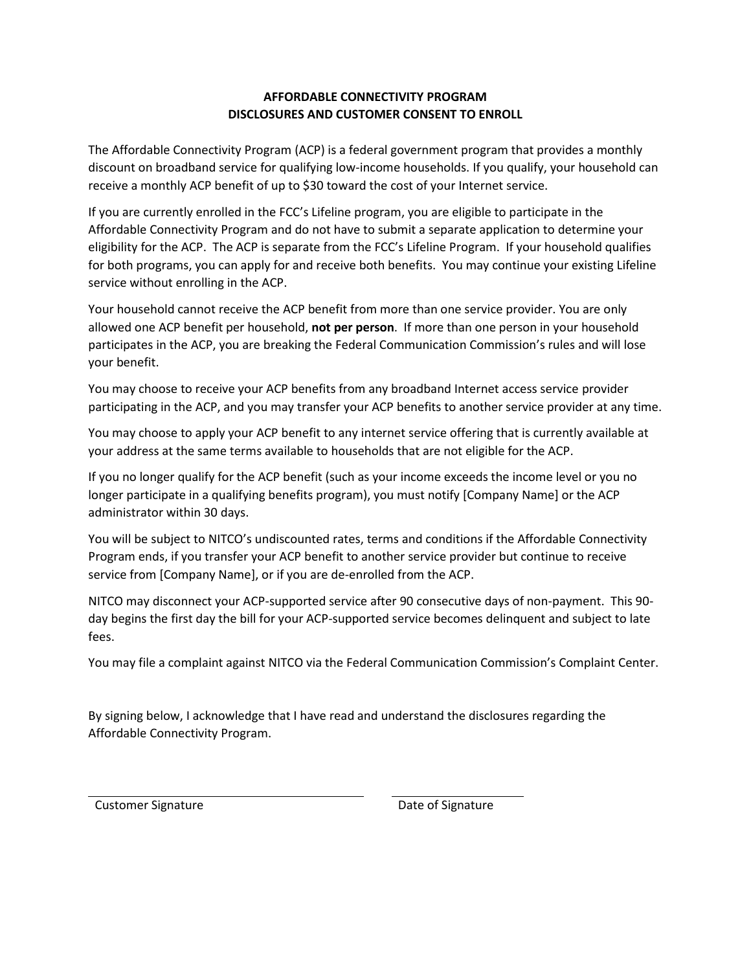## **AFFORDABLE CONNECTIVITY PROGRAM DISCLOSURES AND CUSTOMER CONSENT TO ENROLL**

The Affordable Connectivity Program (ACP) is a federal government program that provides a monthly discount on broadband service for qualifying low-income households. If you qualify, your household can receive a monthly ACP benefit of up to \$30 toward the cost of your Internet service.

If you are currently enrolled in the FCC's Lifeline program, you are eligible to participate in the Affordable Connectivity Program and do not have to submit a separate application to determine your eligibility for the ACP. The ACP is separate from the FCC's Lifeline Program. If your household qualifies for both programs, you can apply for and receive both benefits. You may continue your existing Lifeline service without enrolling in the ACP.

Your household cannot receive the ACP benefit from more than one service provider. You are only allowed one ACP benefit per household, **not per person**. If more than one person in your household participates in the ACP, you are breaking the Federal Communication Commission's rules and will lose your benefit.

You may choose to receive your ACP benefits from any broadband Internet access service provider participating in the ACP, and you may transfer your ACP benefits to another service provider at any time.

You may choose to apply your ACP benefit to any internet service offering that is currently available at your address at the same terms available to households that are not eligible for the ACP.

If you no longer qualify for the ACP benefit (such as your income exceeds the income level or you no longer participate in a qualifying benefits program), you must notify [Company Name] or the ACP administrator within 30 days.

You will be subject to NITCO's undiscounted rates, terms and conditions if the Affordable Connectivity Program ends, if you transfer your ACP benefit to another service provider but continue to receive service from [Company Name], or if you are de-enrolled from the ACP.

NITCO may disconnect your ACP-supported service after 90 consecutive days of non-payment. This 90 day begins the first day the bill for your ACP-supported service becomes delinquent and subject to late fees.

You may file a complaint against NITCO via the Federal Communication Commission's Complaint Center.

By signing below, I acknowledge that I have read and understand the disclosures regarding the Affordable Connectivity Program.

Customer Signature **Customer Signature Customer Signature**